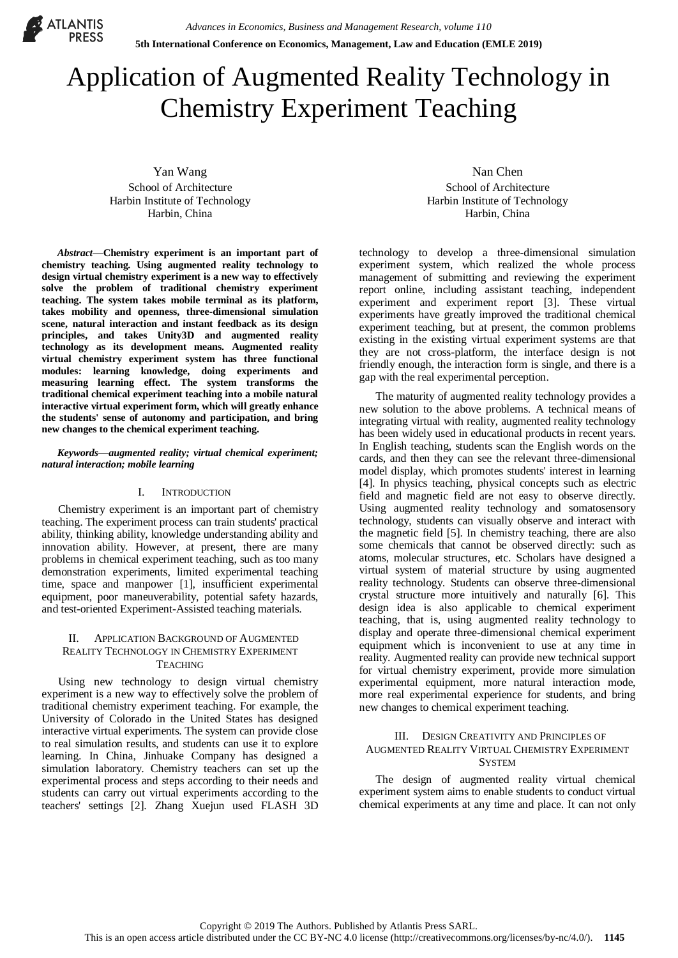

# Application of Augmented Reality Technology in Chemistry Experiment Teaching

Yan Wang School of Architecture Harbin Institute of Technology Harbin, China

*Abstract***—Chemistry experiment is an important part of chemistry teaching. Using augmented reality technology to design virtual chemistry experiment is a new way to effectively solve the problem of traditional chemistry experiment teaching. The system takes mobile terminal as its platform, takes mobility and openness, three-dimensional simulation scene, natural interaction and instant feedback as its design principles, and takes Unity3D and augmented reality technology as its development means. Augmented reality virtual chemistry experiment system has three functional modules: learning knowledge, doing experiments and measuring learning effect. The system transforms the traditional chemical experiment teaching into a mobile natural interactive virtual experiment form, which will greatly enhance the students' sense of autonomy and participation, and bring new changes to the chemical experiment teaching.**

#### *Keywords—augmented reality; virtual chemical experiment; natural interaction; mobile learning*

## I. INTRODUCTION

Chemistry experiment is an important part of chemistry teaching. The experiment process can train students' practical ability, thinking ability, knowledge understanding ability and innovation ability. However, at present, there are many problems in chemical experiment teaching, such as too many demonstration experiments, limited experimental teaching time, space and manpower [1], insufficient experimental equipment, poor maneuverability, potential safety hazards, and test-oriented Experiment-Assisted teaching materials.

## II. APPLICATION BACKGROUND OF AUGMENTED REALITY TECHNOLOGY IN CHEMISTRY EXPERIMENT **TEACHING**

Using new technology to design virtual chemistry experiment is a new way to effectively solve the problem of traditional chemistry experiment teaching. For example, the University of Colorado in the United States has designed interactive virtual experiments. The system can provide close to real simulation results, and students can use it to explore learning. In China, Jinhuake Company has designed a simulation laboratory. Chemistry teachers can set up the experimental process and steps according to their needs and students can carry out virtual experiments according to the teachers' settings [2]. Zhang Xuejun used FLASH 3D

Nan Chen School of Architecture Harbin Institute of Technology Harbin, China

technology to develop a three-dimensional simulation experiment system, which realized the whole process management of submitting and reviewing the experiment report online, including assistant teaching, independent experiment and experiment report [3]. These virtual experiments have greatly improved the traditional chemical experiment teaching, but at present, the common problems existing in the existing virtual experiment systems are that they are not cross-platform, the interface design is not friendly enough, the interaction form is single, and there is a gap with the real experimental perception.

The maturity of augmented reality technology provides a new solution to the above problems. A technical means of integrating virtual with reality, augmented reality technology has been widely used in educational products in recent years. In English teaching, students scan the English words on the cards, and then they can see the relevant three-dimensional model display, which promotes students' interest in learning [4]. In physics teaching, physical concepts such as electric field and magnetic field are not easy to observe directly. Using augmented reality technology and somatosensory technology, students can visually observe and interact with the magnetic field [5]. In chemistry teaching, there are also some chemicals that cannot be observed directly: such as atoms, molecular structures, etc. Scholars have designed a virtual system of material structure by using augmented reality technology. Students can observe three-dimensional crystal structure more intuitively and naturally [6]. This design idea is also applicable to chemical experiment teaching, that is, using augmented reality technology to display and operate three-dimensional chemical experiment equipment which is inconvenient to use at any time in reality. Augmented reality can provide new technical support for virtual chemistry experiment, provide more simulation experimental equipment, more natural interaction mode, more real experimental experience for students, and bring new changes to chemical experiment teaching.

# III. DESIGN CREATIVITY AND PRINCIPLES OF AUGMENTED REALITY VIRTUAL CHEMISTRY EXPERIMENT **SYSTEM**

The design of augmented reality virtual chemical experiment system aims to enable students to conduct virtual chemical experiments at any time and place. It can not only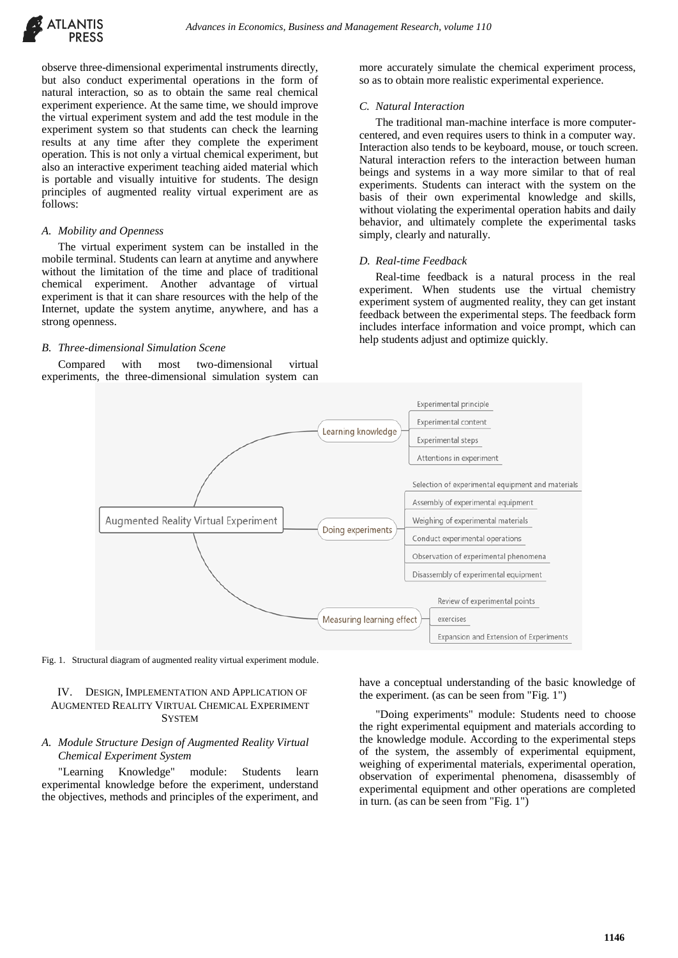

observe three-dimensional experimental instruments directly, but also conduct experimental operations in the form of natural interaction, so as to obtain the same real chemical experiment experience. At the same time, we should improve the virtual experiment system and add the test module in the experiment system so that students can check the learning results at any time after they complete the experiment operation. This is not only a virtual chemical experiment, but also an interactive experiment teaching aided material which is portable and visually intuitive for students. The design principles of augmented reality virtual experiment are as follows:

#### *A. Mobility and Openness*

The virtual experiment system can be installed in the mobile terminal. Students can learn at anytime and anywhere without the limitation of the time and place of traditional chemical experiment. Another advantage of virtual experiment is that it can share resources with the help of the Internet, update the system anytime, anywhere, and has a strong openness.

#### *B. Three-dimensional Simulation Scene*

Compared with most two-dimensional virtual experiments, the three-dimensional simulation system can more accurately simulate the chemical experiment process, so as to obtain more realistic experimental experience.

### *C. Natural Interaction*

The traditional man-machine interface is more computercentered, and even requires users to think in a computer way. Interaction also tends to be keyboard, mouse, or touch screen. Natural interaction refers to the interaction between human beings and systems in a way more similar to that of real experiments. Students can interact with the system on the basis of their own experimental knowledge and skills, without violating the experimental operation habits and daily behavior, and ultimately complete the experimental tasks simply, clearly and naturally.

#### *D. Real-time Feedback*

Real-time feedback is a natural process in the real experiment. When students use the virtual chemistry experiment system of augmented reality, they can get instant feedback between the experimental steps. The feedback form includes interface information and voice prompt, which can help students adjust and optimize quickly.



Fig. 1. Structural diagram of augmented reality virtual experiment module.

## IV. DESIGN, IMPLEMENTATION AND APPLICATION OF AUGMENTED REALITY VIRTUAL CHEMICAL EXPERIMENT **SYSTEM**

## *A. Module Structure Design of Augmented Reality Virtual Chemical Experiment System*

"Learning Knowledge" module: Students learn experimental knowledge before the experiment, understand the objectives, methods and principles of the experiment, and

have a conceptual understanding of the basic knowledge of the experiment. (as can be seen from "Fig. 1")

"Doing experiments" module: Students need to choose the right experimental equipment and materials according to the knowledge module. According to the experimental steps of the system, the assembly of experimental equipment, weighing of experimental materials, experimental operation, observation of experimental phenomena, disassembly of experimental equipment and other operations are completed in turn. (as can be seen from "Fig. 1")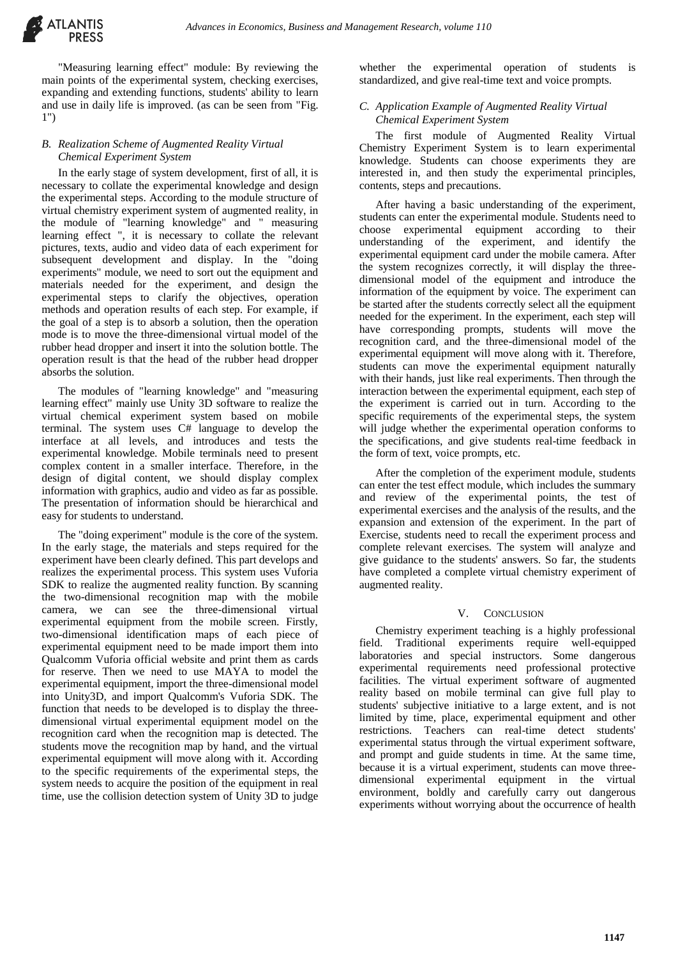"Measuring learning effect" module: By reviewing the main points of the experimental system, checking exercises, expanding and extending functions, students' ability to learn and use in daily life is improved. (as can be seen from "Fig. 1")

## *B. Realization Scheme of Augmented Reality Virtual Chemical Experiment System*

In the early stage of system development, first of all, it is necessary to collate the experimental knowledge and design the experimental steps. According to the module structure of virtual chemistry experiment system of augmented reality, in the module of "learning knowledge" and " measuring learning effect ", it is necessary to collate the relevant pictures, texts, audio and video data of each experiment for subsequent development and display. In the "doing" experiments" module, we need to sort out the equipment and materials needed for the experiment, and design the experimental steps to clarify the objectives, operation methods and operation results of each step. For example, if the goal of a step is to absorb a solution, then the operation mode is to move the three-dimensional virtual model of the rubber head dropper and insert it into the solution bottle. The operation result is that the head of the rubber head dropper absorbs the solution.

The modules of "learning knowledge" and "measuring learning effect" mainly use Unity 3D software to realize the virtual chemical experiment system based on mobile terminal. The system uses C# language to develop the interface at all levels, and introduces and tests the experimental knowledge. Mobile terminals need to present complex content in a smaller interface. Therefore, in the design of digital content, we should display complex information with graphics, audio and video as far as possible. The presentation of information should be hierarchical and easy for students to understand.

The "doing experiment" module is the core of the system. In the early stage, the materials and steps required for the experiment have been clearly defined. This part develops and realizes the experimental process. This system uses Vuforia SDK to realize the augmented reality function. By scanning the two-dimensional recognition map with the mobile camera, we can see the three-dimensional virtual experimental equipment from the mobile screen. Firstly, two-dimensional identification maps of each piece of experimental equipment need to be made import them into Qualcomm Vuforia official website and print them as cards for reserve. Then we need to use MAYA to model the experimental equipment, import the three-dimensional model into Unity3D, and import Qualcomm's Vuforia SDK. The function that needs to be developed is to display the threedimensional virtual experimental equipment model on the recognition card when the recognition map is detected. The students move the recognition map by hand, and the virtual experimental equipment will move along with it. According to the specific requirements of the experimental steps, the system needs to acquire the position of the equipment in real time, use the collision detection system of Unity 3D to judge

whether the experimental operation of students is standardized, and give real-time text and voice prompts.

# *C. Application Example of Augmented Reality Virtual Chemical Experiment System*

The first module of Augmented Reality Virtual Chemistry Experiment System is to learn experimental knowledge. Students can choose experiments they are interested in, and then study the experimental principles, contents, steps and precautions.

After having a basic understanding of the experiment, students can enter the experimental module. Students need to choose experimental equipment according to their understanding of the experiment, and identify the experimental equipment card under the mobile camera. After the system recognizes correctly, it will display the threedimensional model of the equipment and introduce the information of the equipment by voice. The experiment can be started after the students correctly select all the equipment needed for the experiment. In the experiment, each step will have corresponding prompts, students will move the recognition card, and the three-dimensional model of the experimental equipment will move along with it. Therefore, students can move the experimental equipment naturally with their hands, just like real experiments. Then through the interaction between the experimental equipment, each step of the experiment is carried out in turn. According to the specific requirements of the experimental steps, the system will judge whether the experimental operation conforms to the specifications, and give students real-time feedback in the form of text, voice prompts, etc.

After the completion of the experiment module, students can enter the test effect module, which includes the summary and review of the experimental points, the test of experimental exercises and the analysis of the results, and the expansion and extension of the experiment. In the part of Exercise, students need to recall the experiment process and complete relevant exercises. The system will analyze and give guidance to the students' answers. So far, the students have completed a complete virtual chemistry experiment of augmented reality.

# V. CONCLUSION

Chemistry experiment teaching is a highly professional field. Traditional experiments require well-equipped laboratories and special instructors. Some dangerous experimental requirements need professional protective facilities. The virtual experiment software of augmented reality based on mobile terminal can give full play to students' subjective initiative to a large extent, and is not limited by time, place, experimental equipment and other restrictions. Teachers can real-time detect students' experimental status through the virtual experiment software, and prompt and guide students in time. At the same time, because it is a virtual experiment, students can move threedimensional experimental equipment in the virtual environment, boldly and carefully carry out dangerous experiments without worrying about the occurrence of health